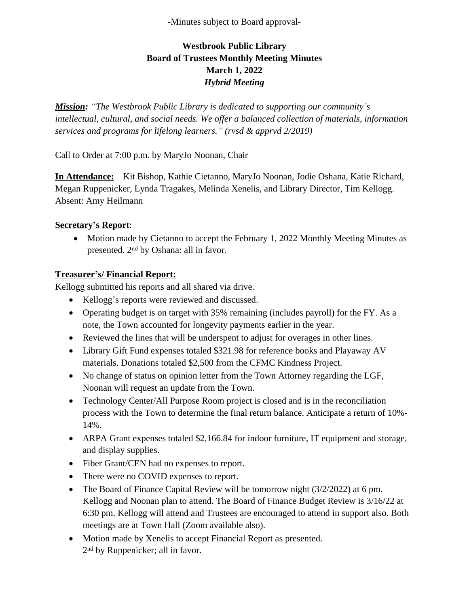-Minutes subject to Board approval-

# **Westbrook Public Library Board of Trustees Monthly Meeting Minutes March 1, 2022** *Hybrid Meeting*

*Mission: "The Westbrook Public Library is dedicated to supporting our community's intellectual, cultural, and social needs. We offer a balanced collection of materials, information services and programs for lifelong learners." (rvsd & apprvd 2/2019)*

Call to Order at 7:00 p.m. by MaryJo Noonan, Chair

**In Attendance:** Kit Bishop, Kathie Cietanno, MaryJo Noonan, Jodie Oshana, Katie Richard, Megan Ruppenicker, Lynda Tragakes, Melinda Xenelis, and Library Director, Tim Kellogg. Absent: Amy Heilmann

#### **Secretary's Report**:

• Motion made by Cietanno to accept the February 1, 2022 Monthly Meeting Minutes as presented. 2nd by Oshana: all in favor.

#### **Treasurer's/ Financial Report:**

Kellogg submitted his reports and all shared via drive.

- Kellogg's reports were reviewed and discussed.
- Operating budget is on target with 35% remaining (includes payroll) for the FY. As a note, the Town accounted for longevity payments earlier in the year.
- Reviewed the lines that will be underspent to adjust for overages in other lines.
- Library Gift Fund expenses totaled \$321.98 for reference books and Playaway AV materials. Donations totaled \$2,500 from the CFMC Kindness Project.
- No change of status on opinion letter from the Town Attorney regarding the LGF, Noonan will request an update from the Town.
- Technology Center/All Purpose Room project is closed and is in the reconciliation process with the Town to determine the final return balance. Anticipate a return of 10%- 14%.
- ARPA Grant expenses totaled \$2,166.84 for indoor furniture, IT equipment and storage, and display supplies.
- Fiber Grant/CEN had no expenses to report.
- There were no COVID expenses to report.
- The Board of Finance Capital Review will be tomorrow night (3/2/2022) at 6 pm. Kellogg and Noonan plan to attend. The Board of Finance Budget Review is 3/16/22 at 6:30 pm. Kellogg will attend and Trustees are encouraged to attend in support also. Both meetings are at Town Hall (Zoom available also).
- Motion made by Xenelis to accept Financial Report as presented. 2<sup>nd</sup> by Ruppenicker; all in favor.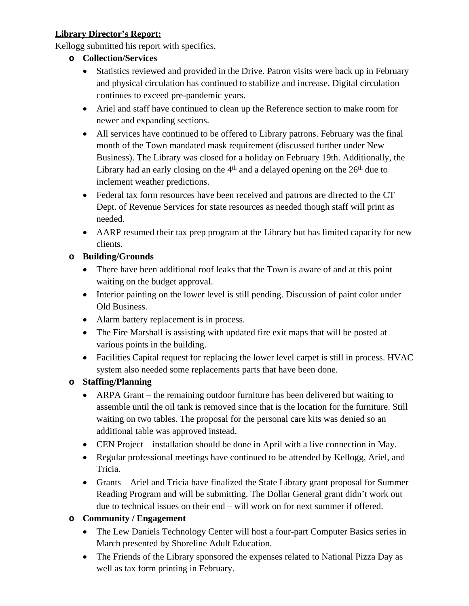## **Library Director's Report:**

Kellogg submitted his report with specifics.

- **o Collection/Services**
	- Statistics reviewed and provided in the Drive. Patron visits were back up in February and physical circulation has continued to stabilize and increase. Digital circulation continues to exceed pre-pandemic years.
	- Ariel and staff have continued to clean up the Reference section to make room for newer and expanding sections.
	- All services have continued to be offered to Library patrons. February was the final month of the Town mandated mask requirement (discussed further under New Business). The Library was closed for a holiday on February 19th. Additionally, the Library had an early closing on the  $4<sup>th</sup>$  and a delayed opening on the  $26<sup>th</sup>$  due to inclement weather predictions.
	- Federal tax form resources have been received and patrons are directed to the CT Dept. of Revenue Services for state resources as needed though staff will print as needed.
	- AARP resumed their tax prep program at the Library but has limited capacity for new clients.

### **o Building/Grounds**

- There have been additional roof leaks that the Town is aware of and at this point waiting on the budget approval.
- Interior painting on the lower level is still pending. Discussion of paint color under Old Business.
- Alarm battery replacement is in process.
- The Fire Marshall is assisting with updated fire exit maps that will be posted at various points in the building.
- Facilities Capital request for replacing the lower level carpet is still in process. HVAC system also needed some replacements parts that have been done.

### **o Staffing/Planning**

- ARPA Grant the remaining outdoor furniture has been delivered but waiting to assemble until the oil tank is removed since that is the location for the furniture. Still waiting on two tables. The proposal for the personal care kits was denied so an additional table was approved instead.
- CEN Project installation should be done in April with a live connection in May.
- Regular professional meetings have continued to be attended by Kellogg, Ariel, and Tricia.
- Grants Ariel and Tricia have finalized the State Library grant proposal for Summer Reading Program and will be submitting. The Dollar General grant didn't work out due to technical issues on their end – will work on for next summer if offered.

### **o Community / Engagement**

- The Lew Daniels Technology Center will host a four-part Computer Basics series in March presented by Shoreline Adult Education.
- The Friends of the Library sponsored the expenses related to National Pizza Day as well as tax form printing in February.